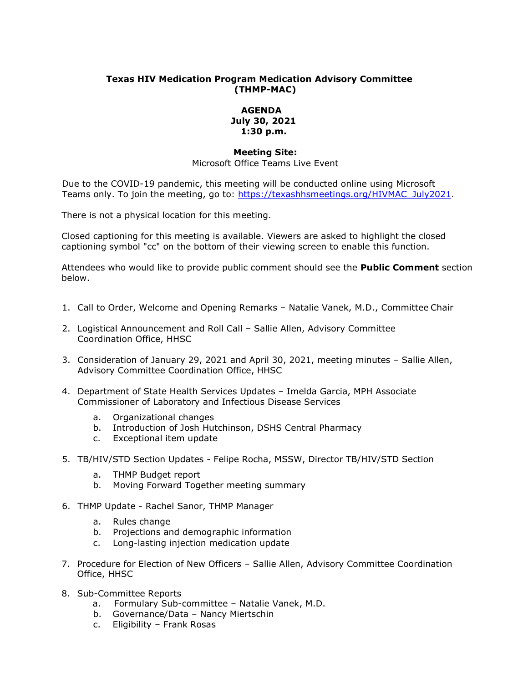## **Texas HIV Medication Program Medication Advisory Committee (THMP-MAC)**

## **AGENDA July 30, 2021 1:30 p.m.**

## **Meeting Site:**

Microsoft Office Teams Live Event

Due to the COVID-19 pandemic, this meeting will be conducted online using Microsoft Teams only. To join the meeting, go to: [https://texashhsmeetings.org/HIVMAC\\_July2021.](https://texashhsmeetings.org/HIVMAC_July2021)

There is not a physical location for this meeting.

Closed captioning for this meeting is available. Viewers are asked to highlight the closed captioning symbol "cc" on the bottom of their viewing screen to enable this function.

Attendees who would like to provide public comment should see the **Public Comment** section below.

- 1. Call to Order, Welcome and Opening Remarks Natalie Vanek, M.D., Committee Chair
- 2. Logistical Announcement and Roll Call Sallie Allen, Advisory Committee Coordination Office, HHSC
- 3. Consideration of January 29, 2021 and April 30, 2021, meeting minutes Sallie Allen, Advisory Committee Coordination Office, HHSC
- 4. Department of State Health Services Updates Imelda Garcia, MPH Associate Commissioner of Laboratory and Infectious Disease Services
	- a. Organizational changes
	- b. Introduction of Josh Hutchinson, DSHS Central Pharmacy
	- c. Exceptional item update
- 5. TB/HIV/STD Section Updates Felipe Rocha, MSSW, Director TB/HIV/STD Section
	- a. THMP Budget report
	- b. Moving Forward Together meeting summary
- 6. THMP Update Rachel Sanor, THMP Manager
	- a. Rules change
	- b. Projections and demographic information
	- c. Long-lasting injection medication update
- 7. Procedure for Election of New Officers Sallie Allen, Advisory Committee Coordination Office, HHSC
- 8. Sub-Committee Reports
	- a. Formulary Sub-committee Natalie Vanek, M.D.
	- b. Governance/Data Nancy Miertschin
	- c. Eligibility Frank Rosas